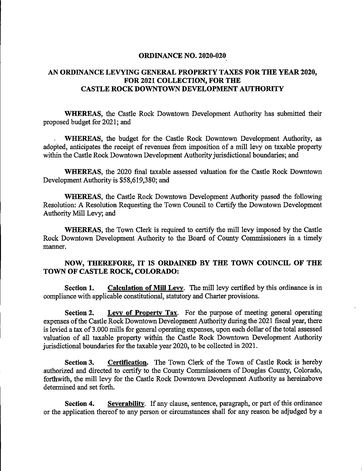## ORDINANCE NO. 2020-020

## AN ORDINANCE LEVYING GENERAL PROPERTY TAXES FOR THE YEAR 2020, FOR 2021 COLLECTION, FOR THE CASTLE ROCK DOWNTOWN DEVELOPMENT AUTHORITY

WHEREAS, the Castle Rock Downtown Development Authority has submitted their proposed budget for 2021; and

WHEREAS, the budget for the Castle Rock Downtown Development Authority, as adopted, anticipates the receipt of revenues from imposition of a mill levy on taxable property within the Castle Rock Downtown Development Authority jurisdictional boundaries; and

WHEREAS, the 2020 final taxable assessed valuation for the Castle Rock Downtown Development Authority is \$58,619,380; and

WHEREAS, the Castle Rock Downtown Development Authority passed the following Resolution: A Resolution Requesting the Town Council to Certify the Downtown Development Authority Mill Levy; and

WHEREAS, the Town Clerk is required to certify the mill levy imposed by the Castle Rock Downtown Development Authority to the Board of County Commissioners in a timely manner.

## NOW, THEREFORE, IT IS ORDAINED BY THE TOWN COUNCIL OF THE TOWN OF CASTLE ROCK, COLORADO:

Section 1. Calculation of Mill Levy. The mill levy certified by this ordinance is in compliance with applicable constitutional, statutory and Charter provisions.

Section 2. Levy of Property Tax. For the purpose of meeting general operating expenses of the Castle Rock Downtown Development Authority during the 2021 fiscal year, there is levied a tax of 3.000 mills for general operating expenses, upon each dollar of the total assessed valuation of all taxable property within the Castle Rock Downtown Development Authority jurisdictional boundaries for the taxable year 2020, to be collected in 2021.

Section 3. Certification. The Town Clerk of the Town of Castle Rock is hereby authorized and directed to certify to the County Commissioners of Douglas County, Colorado, forthwith, the mill levy for the Castle Rock Downtown Development Authority as hereinabove determined and set forth.

Section 4. Severability. If any clause, sentence, paragraph, or part of this ordinance or the application thereof to any person or circumstances shall for any reason be adjudged by a